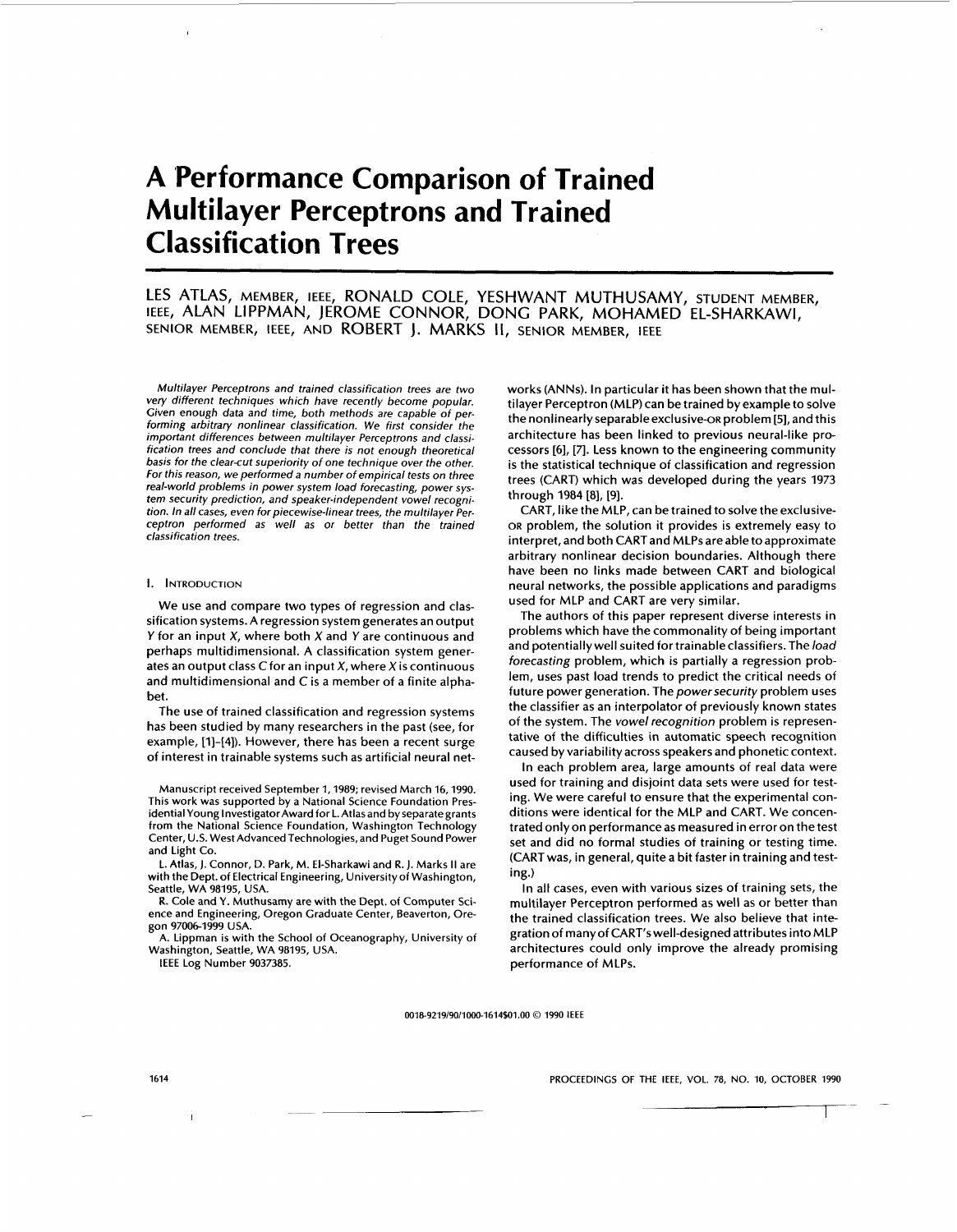# **A 'Performance Comparison of Trained Multilayer Perceptrons and Trained Classification Trees**

# LES ATLAS, MEMBER, IEEE, RONALD COLE, YESHWANT MUTHUSAMY, STUDENT MEMBER, IEEE, ALAN LIPPMAN, JEROME CONNOR, DONG PARK, MOHAMED EL-SHARKAWI, SENIOR MEMBER, IEEE, AND ROBERT **J.** MARKS 11, SENIOR MEMBER, IEEE

Multilayer Perceptrons and trained classification trees are two very different techniques which have recently become popular. Given enough data and time, both methods are capable of performing arbitrary nonlinear classification. We first consider the important differences between multilayer Perceptrons and classification trees and conclude that there is not enough theoretical basis for the clear-cut superiority of one technique over the other. For this reason, we performed a number of empirical tests on three real-world problems in power system load forecasting, power system security prediction, and speaker-independent vowel recognition. In all cases, even for piecewise-linear trees, the multilayer Perceptron performed as well as or better than the trained classification trees.

#### **I.** INTRODUCTION

We use and compare two types of regression and classification systems. A regression system generates an output *Y* for an input *X*, where both *X* and *Y* are continuous and perhaps multidimensional. A classification system generates an output class  $C$  for an input  $X$ , where  $X$  is continuous and multidimensional and Cis a member of a finite alphabet.

The use of trained classification and regression systems has been studied by many researchers in the past (see, for example, **[I]-[4]).** However, there has been a recent surge of interest in trainable systems such as artificial neural net-

Manuscript received September **1,1989;** revised March **16,1990.**  This work was supported by a National Science Foundation Presidential Young Investigator Award for L. Atlas and by separate grants from the National Science Foundation, Washington Technology Center, U.S. West Advanced Technologies, and Puget Sound Power and Light Co.

L. Atlas, **J.** Connor, D. Park, M. El-Sharkawi and R. **J.** Marks **II** are with the Dept. of Electrical Engineering, University of Washington, Seattle, WA **98195,** USA.

**R.** Cole and Y. Muthusamy are with the Dept. of Computer Science and Engineering, Oregon Graduate Center, Beaverton, Oregon **97006-1999** USA.

A. Lipprnan is with the School of Oceanography, University of Washington, Seattle, WA **98195,** USA.

IEEE Log Number **9037385.** 

works (ANNs). In particular it has been shown that the multilayer Perceptron (MLP) can be trained by example to solve the nonlinearly separableexclusive-oR problem **[5],** and this architecture has been linked to previous neural-like processors [6], [7]. Less known to the engineering community is the statistical technique of classification and regression trees (CART) which was developed during the years **1973**  through **1984 [8], [9].** 

CART, like the MLP, can be trained to solve the exclusive-**OR** problem, the solution it provides is extremely easy to interpret, and both CART and MLPs are able to approximate arbitrary nonlinear decision boundaries. Although there have been no links made between CART and biological neural networks, the possible applications and paradigms used for MLP and CART are very similar.

The authors of this paper represent diverse interests in problems which have the commonality of being important and potentially well suited for trainableclassifiers. The *load*  forecasting problem, which **is** partially a regression problem, uses past load trends to predict the critical needs of future power generation. The power security problem uses the classifier as an interpolator of previously known states of the system. The vowel recognition problem is representative of the difficulties in automatic speech recognition caused by variability across speakers and phonetic context. **AMY,**  $STUDEFIN MEERR$ ,<br>
MAY,  $STUDEFIN MEABER$ ,<br>
MED EL-SHARKAWI,<br>
HEE arit has been shown that the mul-<br>
rained by example to solve the state of product in the mul-<br>
rack that the product near range (solve the state of production and

In each problem area, large amounts of real data were used for training and disjoint data sets were used for testing. We were careful to ensure that the experimental conditions were identical for the MLP and CART. We concentrated onlyon performanceas measured in error on the test set and did no formal studies of training or testing time. (CARTwas, in general, quite a bit faster in training and testing.)

In all cases, even with various sizes of training sets, the multilayer Perceptron performed as well as or better than the trained classification trees. We also believe that integration of many of CART'swelI-designed attributes intoMLP architectures could only improve the already promising performance of MLPs.

0018-9219/90/1000-1614\$01.00 © 1990 IEEE

**PROCEEDINGS OF THE IEEE, VOL. 78, NO. IO, OCTOBER 1990** 

-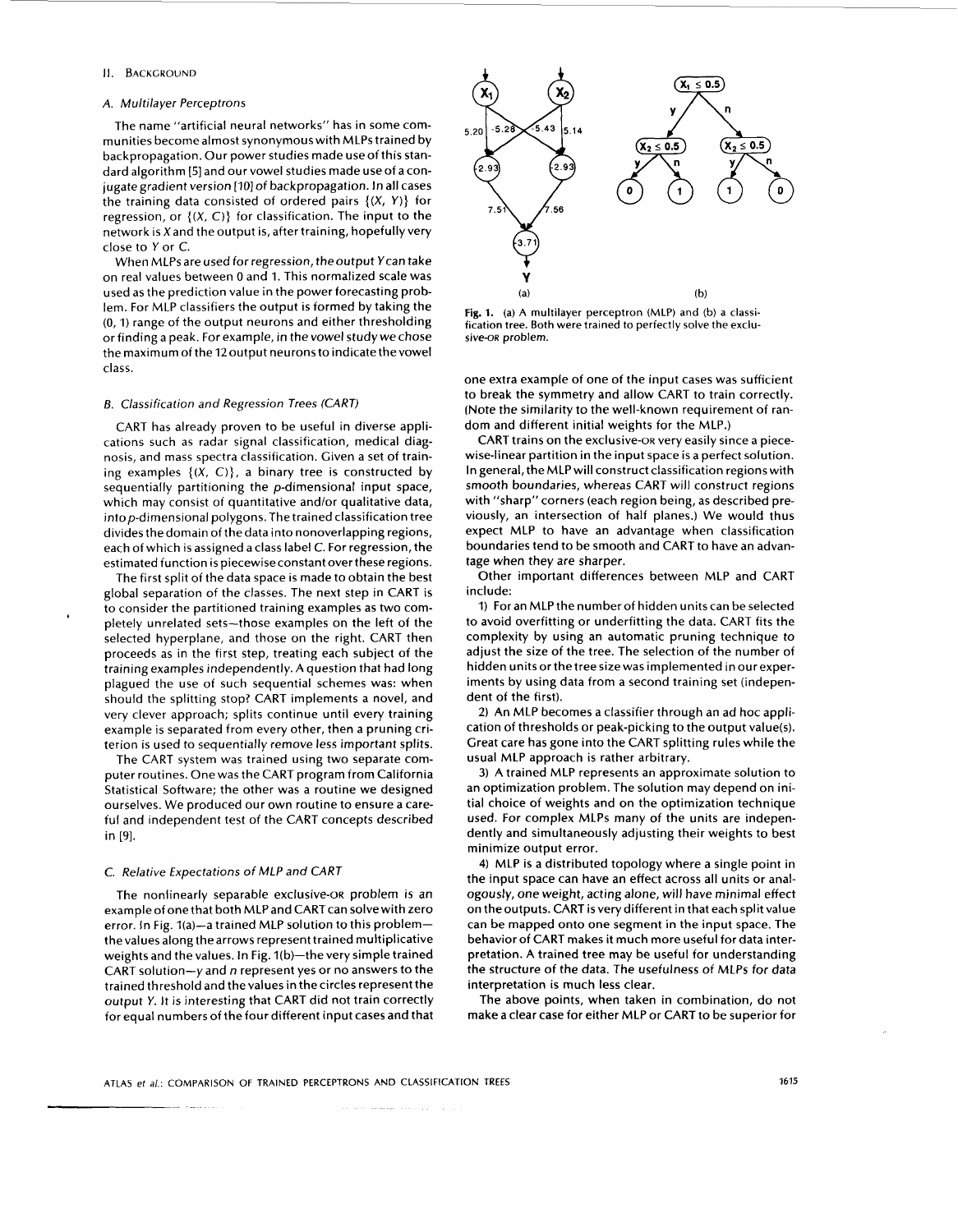#### **II.** BACKGROUND

#### A. Multilayer Perceptrons

The name "artificial neural networks" has in some communities become almost synonymouswith MLPs trained by backpropagation. Our power studies made useof this standard algorithm [5] and our vowel studies made useof aconjugate gradient version [IO] of backpropagation. In all cases the training data consisted of ordered pairs **{(X, Y)}** for regression, or  $\{(X, C)\}\)$  for classification. The input to the network is Xand the output is, after training, hopefully very close to Y or C.

When MLPs are used for regression, theoutput Ycan take on real values between 0 and 1. This normalized scale was used as the prediction value in the power forecasting problem. For MLP classifiers the output is formed by taking the (0, 1) range of the output neurons and either thresholding or finding a peak. For example, in the vowel study we chose the maximum of the 12 output neurons to indicate the vowel class.

# *B.* Classification and Regression Trees (CART)

CART has already proven to be useful in diverse applications such as radar signal classification, medical diagnosis, and mass spectra classification. Given a set of training examples  $\{(X, C)\}\)$ , a binary tree is constructed by sequentially partitioning the p-dimensional input space, which may consist of quantitative and/or qualitative data, intop-dimensional polygons. The trained classification tree divides the domain of the data into nonoverlapping regions, each of which is assigned a class label C. For regression, the estimated function is piecewiseconstant overthese regions.

The first split of the data space is made to obtain the best global separation of the classes. The next step in CART is to consider the partitioned training examples as two completely unrelated sets-those examples on the left of the selected hyperplane, and those on the right. CART then proceeds as in the first step, treating each subject of the training examples independently. A question that had long plagued the use of such sequential schemes was: when should the splitting stop? CART implements a novel, and very clever approach; splits continue until every training example is separated from every other, then a pruning criterion is used to sequentially remove less important splits.

The CART system was trained using two separate computer routines. One was the CART program from California Statistical Software; the other was a routine we designed ourselves. We produced our own routine to ensure a careful and independent test of the CART concepts described in [9].

# C. Relative Expectations *of MLP* and CART

The nonlinearly separable exclusive-oR problem is an example of one that both MLP and CART can solve with zero error. In Fig. 1(a)-a trained MLP solution to this problemthe values along the arrows represent trained multiplicative weights and the values. In Fig. 1(b)-the very simple trained CART solution- $y$  and n represent yes or no answers to the trained threshold and thevalues in the circles represent the output Y. It is interesting that CART did not train correctly for equal numbers of the four different input cases and that



**Fig. 1.** (a) **A** multilayer perceptron **(MLP)** and **(b) a** classification tree. Both were trained to perfectly **solve** the exclusive-OR problem.

one extra example of one of the input cases was sufficient to break the symmetry and allow CART to train correctly. (Note the similarity to the well-known requirement of random and different initial weights for the MLP.)

CART trains on the exclusive-oR very easily since a piecewise-linear partition in the input space is a perfect solution. In general, the MLP will construct classification regions with smooth boundaries, whereas CART will construct regions with "sharp" corners (each region being, as described previously, an intersection of half planes.) We would thus expect MLP to have an advantage when classification boundaries tend to be smooth and CART to have an advantage when they are sharper.

Other important differences between MLP and CART include:

1) For an MLP the number of hidden units can be selected to avoid overfitting or underfitting the data. CART fits the complexity by using an automatic pruning technique to adjust the size of the tree. The selection of the number of hidden units or the tree size was implemented in our experiments by using data from a second training set (independent of the first).

**2)** An MLP becomes a classifier through an ad hoc application of thresholds or peak-picking to the output value(s). Great care has gone into the CART splitting rules while the usual MLP approach is rather arbitrary.

**3)** A trained MLP represents an approximate solution to an optimization problem. The solution may depend on initial choice of weights and on the optimization technique used. For complex MLPs many of the units are independently and simultaneously adjusting their weights to best minimize output error.

**4)** MLP is a distributed topology where a single point in the input space can have an effect across all units or analogously, one weight, acting alone, will have minimal effect on the outputs. CART is very different in that each split value can be mapped onto one segment in the input space. The behavior of CART makes it much more useful for data interpretation. A trained tree may be useful for understanding the structure of the data. The usefulness of MLPs for data interpretation is much **less** clear.

The above points, when taken in combination, do not make a clear case for either MLP or CART to be superior for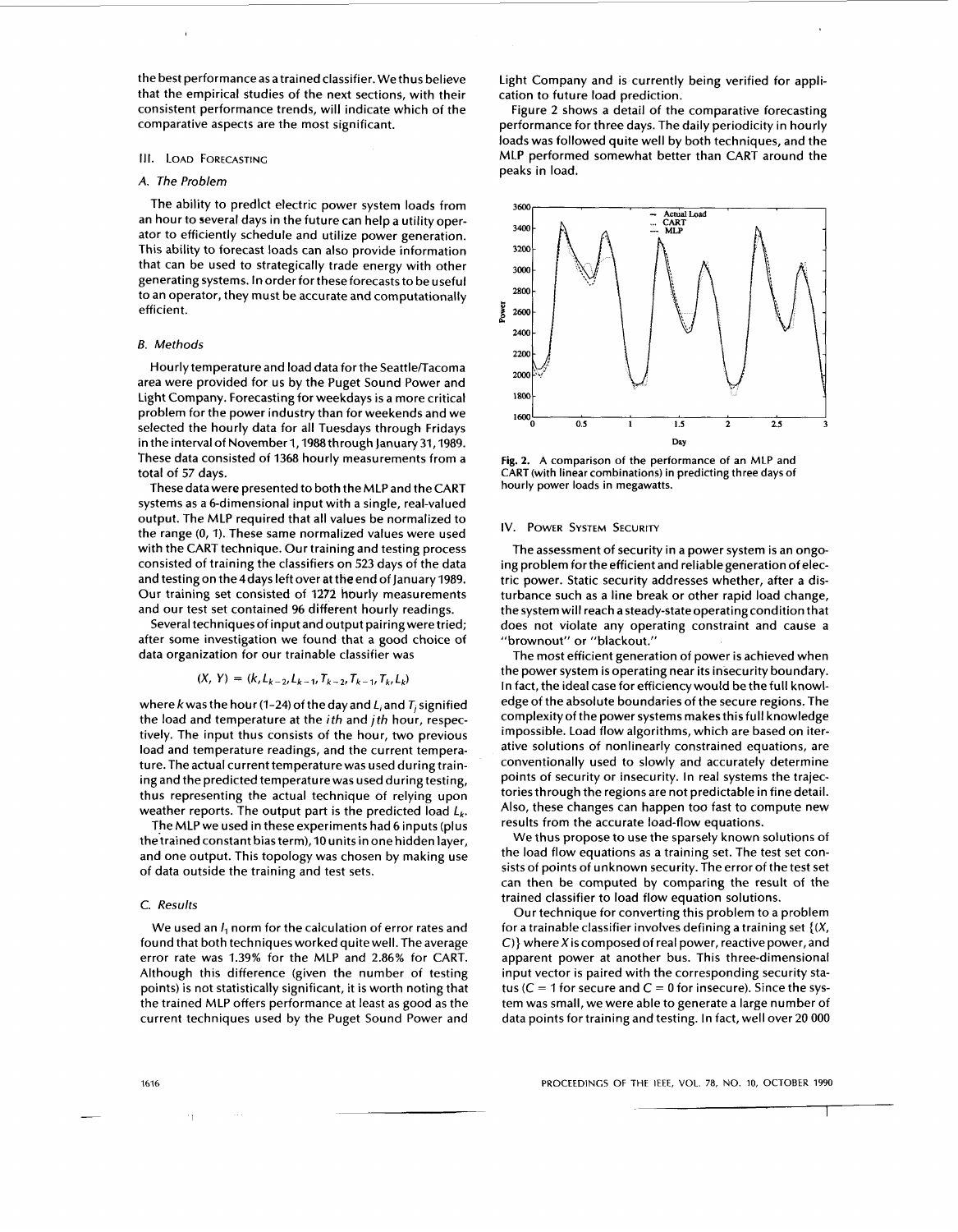the best performanceas atrained classifier. We thus believe that the empirical studies of the next sections, with their consistent performance trends, will indicate which of the comparative aspects are the most significant.

#### **111.** LOAD FORECASTING

# A, The Problem

The ability to predlct electric power system loads from an hour to several days in the future can help a utility operator to efficiently schedule and utilize power generation. This ability to forecast loads can also provide information that can be used to strategically trade energy with other generating systems. In order for these forecasts to be useful to an operator, they must be accurate and computationally efficient.

#### *B.* Methods

Hourly temperature and load data for the Seattle/Tacoma area were provided for us by the Puget Sound Power and Light Company. Forecasting for weekdays **is** a more critical problem for the power industry than for weekends and we selected the hourly data for all Tuesdays through Fridays in the interval of November 1, 1988 through January 31, 1989. These data consisted of 1368 hourly measurements from a total of 57 days.

These data were presented to both the MLP and the CART systems as a 6-dimensional input with a single, real-valued output. The MLP required that all values be normalized to the range (0, 1). These same normalized values were used with the CART technique. Our training and testing process consisted of training the classifiers on 523 days of the data and testing on the 4 days left over at the end of January 1989. Our training set consisted of 1272 hourly measurements and our test set contained 96 different hourly readings.

Several techniques of input and output pairing were tried; after some investigation we found that a good choice of data organization for our trainable classifier was

$$
(X, Y) = (k, L_{k-2}, L_{k-1}, T_{k-2}, T_{k-1}, T_k, L_k)
$$

where k was the hour (1-24) of the day and  $L_i$  and  $T_j$  signified the load and temperature at the ith and jth hour, respectively. The input thus consists of the hour, two previous load and temperature readings, and the current temperature. The actual current temperature was used during training and the predicted temperature was used during testing, thus representing the actual technique of relying upon weather reports. The output part is the predicted load  $L_k$ .

The MLP we used in these experiments had 6 inputs (plus thetrained constant bias term), 10 units in one hidden layer, and one output. This topology was chosen by making use of data outside the training and test sets.

#### C. Results

We used an  $I_1$  norm for the calculation of error rates and found that both techniques worked quite well. The average error rate was 1.39% for the MLP and 2.86% for CART. Although this difference (given the number of testing points) is not statistically significant, it is worth noting that the trained MLP offers performance at least as good as the current techniques used by the Puget Sound Power and Light Company and is currently being verified for application to future load prediction.

Figure 2 shows a detail of the comparative forecasting performance for three days. The daily periodicity in hourly loads was followed quite well by both techniques, and the MLP performed somewhat better than CART around the peaks in load.



**Fig.** 2. A comparison of the performance of an MLP and CART (with linear combinations) in predicting three days of hourly power loads in megawatts.

#### IV. POWER SYSTEM SECURITY

The assessment of security in a power system is an ongoing problem forthe efficient and reliablegeneration of electric power. Static security addresses whether, after a disturbance such as a line break or other rapid load change, the system will reach asteady-stateoperating condition that does not violate any operating constraint and cause a "brownout" or "blackout."

The most efficient generation of power is achieved when the power system is operating near its insecurity boundary. In fact, the ideal case for efficiencywould be the full knowledge of the absolute boundaries of the secure regions. The complexityof the power systems makes this full knowledge impossible. Load flow algorithms, which are based on iterative solutions of nonlinearly constrained equations, are conventionally used to slowly and accurately determine points of security or insecurity. In real systems the trajectories through the regions are not predictable in fine detail. Also, these changes can happen too fast to compute new results from the accurate load-flow equations.

We thus propose to use the sparsely known solutions of the load flow equations as a training set. The test set consists of points of unknown security. The error of the test set can then be computed by comparing the result of the trained classifier to load flow equation solutions.

Our technique for converting this problem to a problem for a trainable classifier involves defining a training set  $\{(X, \}$ *C)}* where X is composed of real power, reactive power, and apparent power at another bus. This three-dimensional input vector is paired with the corresponding security status ( $C = 1$  for secure and  $C = 0$  for insecure). Since the system was small, we were able to generate a large number of data points for training and testing. In fact, well over 20 000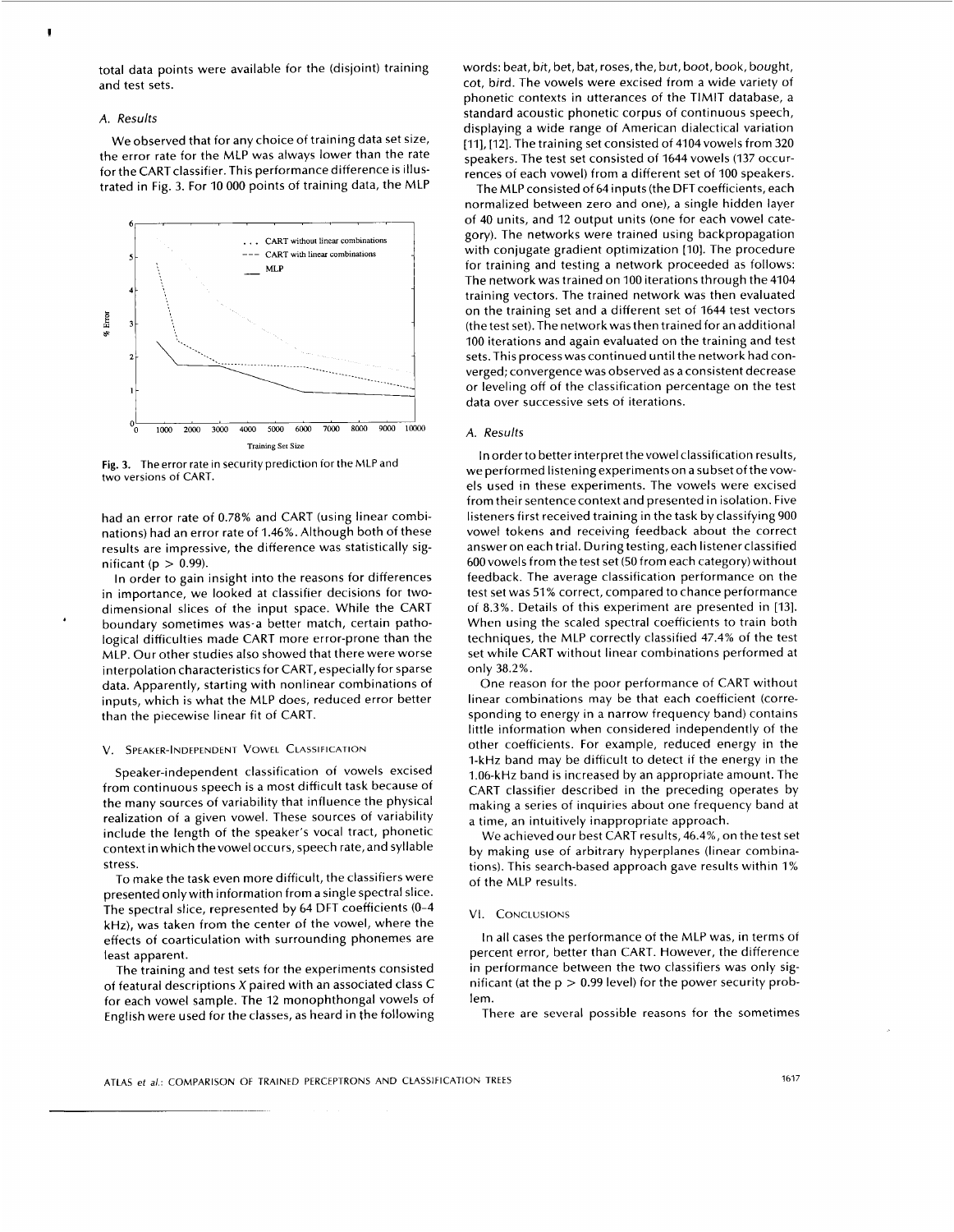total data points were available for the (disjoint) training and test sets.

## *A.* Results

We observed that for any choice of training data set size, the error rate for the MLP was always lower than the rate for the CART classifier. This performance difference is illustrated in Fig. 3. For 10 000 points of training data, the MLP



**Fig. 3.** The error rate in security prediction for the **hlLP** and two versions **of CART.** 

had an error rate of 0.78% and CART (using linear combinations) had an error rate of 1.46%. Although both of these results are impressive, the difference was statistically significant ( $p > 0.99$ ).

In order **to** gain insight into the reasons for differences in importance, we looked at classifier decisions for twodimensional slices of the input space. While the CART boundary sometimes was-a better match, certain pathological difficulties made CART more error-prone than the MLP. Our other studies also showed that there were worse interpolation characteristics for CART, especially for sparse data. Apparently, starting with nonlinear combinations of inputs, which is what the MLP does, reduced error better than the piecewise linear fit of CART.

#### V. SPEAKER-INDEPENDENT **VOWEL** CLASSIFICATION

Speaker-independent classification of vowels excised from continuous speech is a most difficult task because of the many sources of variability that influence the physical realization of a given vowel. These sources of variability include the length of the speaker's vocal tract, phonetic context in which thevowel occurs, speech rate,and syllable stress.

To make the task even more difficult, the classifiers were presented onlywith information from a single spectral slice. The spectral slice, represented by 64 DFT coefficients (0-4 kHz), was taken from the center of the vowel, where the effects of coarticulation with surrounding phonemes are least apparent.

The training and test sets for the experiments consisted of featural descriptions X paired with an associated class C for each vowel sample. The 12 monophthongal vowels of English were used for the classes, as heard in the following words: beat, bit, bet, bat, roses, the, but, boot, book, bought, cot, bird. The vowels were excised from a wide variety of phonetic contexts in utterances of the TlMlT database, a standard acoustic phonetic corpus of continuous speech, displaying a wide range of American dialectical variation [11], [12]. The training set consisted of 4104 vowels from 320 speakers. The test set consisted of 1644 vowels (137 occurrences of each vowel) from a different set of 100 speakers.

The MLP consisted of 64 inputs (the DFT coefficients, each normalized between zero and one), a single hidden layer of 40 units, and 12 output units (one for each vowel category). The networks were trained using backpropagation with conjugate gradient optimization [IO]. The procedure for training and testing a network proceeded as follows: The network was trained on 100 iterations through the 4104 training vectors. The trained network was then evaluated on the training set and a different set of 1644 test vectors (the test set). The network was then trained for an additional 100 iterations and again evaluated on the training and test sets. This process was continued until the network had converged; convergence was observed as a consistent decrease or leveling off of the classification percentage on the test data over successive sets of iterations.

# *A.* Results

In order to better interpret the vowel classification results, we performed listening experiments on a subset of thevowels used in these experiments. The vowels were excised from their sentence context and presented in isolation. Five listeners first received training in the task by classifying 900 vowel tokens and receiving feedback about the correct answer on each trial. During testing, each listener classified 600 vowels from the test set (50 from each category) without feedback. The average classification performance on the test set was 51% correct, compared to chance performance of 8.3%. Details of this experiment are presented in [13]. When using the scaled spectral coefficients to train both techniques, the MLP correctly classified 47.4% of the test set while CART without linear combinations performed at only 38.2%.

One reason for the poor performance of CART without linear combinations may be that each coefficient (corresponding to energy in a narrow frequency band) contains little information when considered independently of the other coefficients. For example, reduced energy in the I-kHz band may be difficult to detect if the energy in the 1.06-kHz band is increased by an appropriate amount. The CART classifier described in the preceding operates by making a series of inquiries about one frequency band at a time, an intuitively inappropriate approach.

We achieved our best CART results, 46.4%, on the test set by making use of arbitrary hyperplanes (linear combinations). This search-based approach gave results within 1% of the MLP results.

## VI. CONCLUSIONS

In all cases the performance of the MLP was, in terms of percent error, better than CART. However, the difference in performance between the two classifiers was only significant (at the p > *0.99* level) for the power security problem.

There are several possible reasons for the sometimes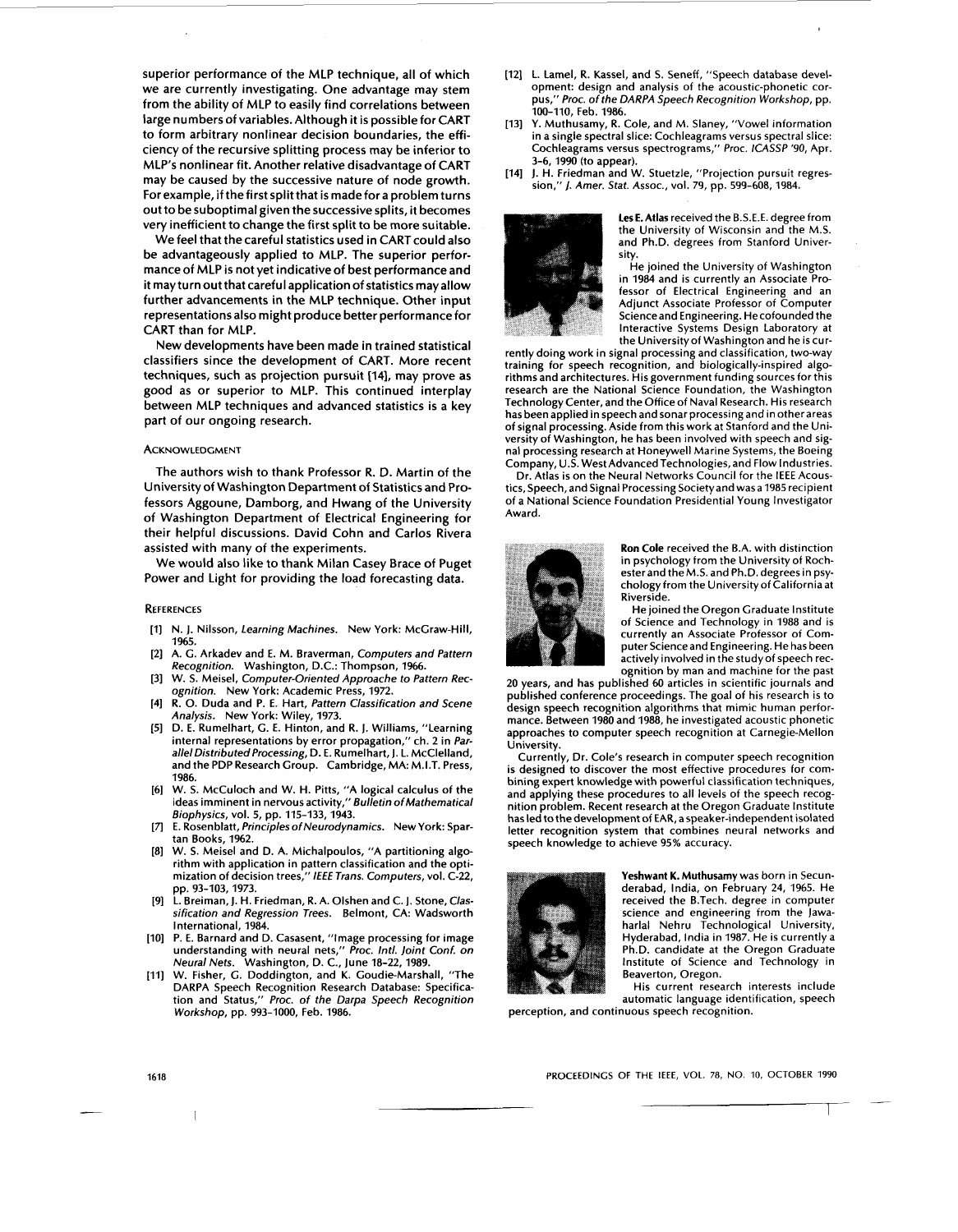superior performance of the MLP technique, all of which we are currently investigating. One advantage may stem from the ability of MLP to easily find correlations between large numbers of variables. Although it is possible for CART to form arbitrary nonlinear decision boundaries, the efficiency of the recursive splitting process may be inferior to MLP's nonlinear fit. Another relative disadvantage of CART may be caused by the successive nature of node growth. For example, if the first split that is made for a problem turns out to be suboptimal given the successive splits, it becomes very inefficient to change the first split to be more suitable.

We feel that the careful statistics used in CART could also be advantageously applied to MLP. The superior performance of MLP is not yet indicative of best performance and it may turn out that careful application of statistics may allow further advancements in the MLP technique. Other input representations also might produce better performance for CART than for MLP.

New developments have been made in trained statistical classifiers since the development of CART. More recent techniques, such as projection pursuit **[141,** may prove as good as or superior to MLP. This continued interplay between MLP techniques and advanced statistics is a key part of our ongoing research.

## **ACKNOWLEDGMENT**

The authors wish to thank Professor R. **D.** Martin of the University of Washington Department of Statistics and **Pro**fessors Aggoune, Damborg, and Hwang of the University of Washington Department of Electrical Engineering for their helpful discussions. David Cohn and Carlos Rivera assisted with many of the experiments.

We would also like to thank Milan Casey Brace of Puget Power and Light for providing the load forecasting data.

#### **REFERENCES**

- N. **J.** Nilsson, Learning Machines. New York: McGraw-Hill,  $[1]$ **1965.**
- $\lceil 2 \rceil$ A. G. Arkadev and E. M. Braverman, Computers and Pattern Recognition. Washington, D.C.: Thompson, **1966.**
- W. S. Meisel, Computer-Oriented Approache *to* Pattern Rec- $[3]$ ognition. New York: Academic Press, **1972.**
- R. 0. Duda and P. E. Hart, Pattern Classification and Scene  $[4]$ Analysis. New York: Wiley, **1973.**
- D. E. Rumelhart, G. E. Hinton, and R. **J.** Williams, "Learning  $[5]$ internal representations by error propagation," ch. **2** in ParallelDistributed Processing, D. E. Rumelhart, **J.** L. McClelland, and the PDP Research Group. Cambridge, MA: M.I.T. Press, **1986.**
- W. S. McCuloch and W. H. Pitts, "A logical calculus of the  $[6]$ ideas imminent in nervous activity," Bulletin ofMathematical Biophysics, vol. 5, pp. **115-133, 1943.**
- 171 E. Rosenblatt, Principles of Neurodynamics. New York: Spartan Books, **1962.**
- $[8]$ W. S. Meisel and D. A. Michalpoulos, "A partitioning algorithm with application in pattern classification and the optimization of decision trees," */€E€* Trans. Computers, vol. **c-22,**  pp. **93-103,1973.**
- $[9]$ L. Breiman, **J.** H. Friedman, R. A. Olshen and C. **J.** Stone, Classification and Regression Trees. Belmont, CA: Wadsworth International, **1984.**
- $1101$ P. E. Barnard and D. Casasent, "Image processing for image understanding with neural nets," Proc. Intl. Joint Conf. on Neural Nets. Washington, D. C., June **18-22,1989.**
- $[11]$ W. Fisher, G. Doddington, and K. Goudie-Marshall, "The DARPA Speech Recognition Research Database: Specification and Status," Proc. of the Darpa Speech Recognition Workshop, pp. **993-1000,** Feb. **1986.**
- **[I21** L. Lamel, R. Kassel, and S. Seneff, "Speech database development: design and analysis of the acoustic-phonetic corpus," Proc. of the DARPA Speech Recognition Workshop, pp. 100-110, Feb. **1986.**
- **[13]** Y. Muthusamy, R. Cole, and M. Slaney, "Vowel information in a single spectral slice: Cochleagrams versus spectral slice: Cochleagrams versus spectrograms," Proc. ICASSP '90, Apr. **3-6,1990** (to appear).
- **[14] J.** H. Friedman and W. Stuetzle, "Projection pursuit regression,'' *J.* Amer. Stat. Assoc., vol. **79,** pp. **599-608, 1984.**



Les E. Atlas received the B.S.E.E. degree from the University of Wisconsin and the M.S. and Ph.D. degrees from Stanford University.

He joined the University of Washington in **1984** and is currently an Associate Professor of Electrical Engineering and an Adjunct Associate Professor of Computer Scienceand Engineering. He cofounded the Interactive Systems Design Laboratory at the Universityof Washington and he is cur-

rently doing work in signal processing and classification, two-way training for speech recognition, and biologically-inspired algorithms and architectures. His government funding sources for this research are the National Science Foundation, the Washington Technology Center, and the Office of Naval Research. His research has been applied in speech and sonar processing and in other areas of signal processing. Aside from this work at Stanford and the University of Washington, he has been involved with speech and signal processing research at Honeywell Marine Systems, the Boeing Company, U.S. West Advanced Technologies, and Flow Industries.

Dr. Atlas is on the Neural Networks Council for the IEEE Acoustics, Speech, and Signal Processing Societyand wasa **1985** recipient of a National Science Foundation Presidential Young Investigator Award.



Ron Cole received the B.A. with distinction in psychology from the University of Rochester and the M.S. and Ph.D. degrees in psychology from the University of California at Riverside.

He joined the Oregon Graduate Institute of Science and Technology in **1988** and is currently an Associate Professor of Computer Scienceand Engineering. He has been actively involved in the study of speech recognition by man and machine for the past

20 years, and has published 60 articles in scientific journals and published conference proceedings. The goal of his research is to design speech recognition algorithms that mimic human performance. Between **1980** and **1988,** he investigated acoustic phonetic approaches to computer speech recognition at Carnegie-Mellon University.

Currently, Dr. Cole's research in computer speech recognition is designed to discover the most effective procedures for combining expert knowledge with powerful classification techniques, and applying these procedures to all levels of the speech recognition problem. Recent research at the Oregon Graduate Institute has led to the development of EAR, a speaker-independent isolated letter recognition system that combines neural networks and speech knowledge to achieve **95%** accuracy.



Yeshwant K. Muthusamy was born in Secunderabad, India, on February **24, 1965.** He received the B.Tech. degree in computer science and engineering from the Jawaharlal Nehru Technological University, Hyderabad, India in **1987.** He is currently a Ph.D. candidate at the Oregon Graduate Institute of Science and Technology in Beaverton, Oregon.

perception, and continuous speech recognition. His current research interests include automatic language identification, speech

**PROCEEDINGS OF THE IEEE, VOL. 78,** NO. **IO. OCTOBER** 1990 **PROCEEDINGS OF THE IEEE, VOL. 78, NO. 10, OCTOBER 1990**<br> **PROCEEDINGS OF THE IEEE, VOL. 78, NO. 10, OCTOBER 1990**